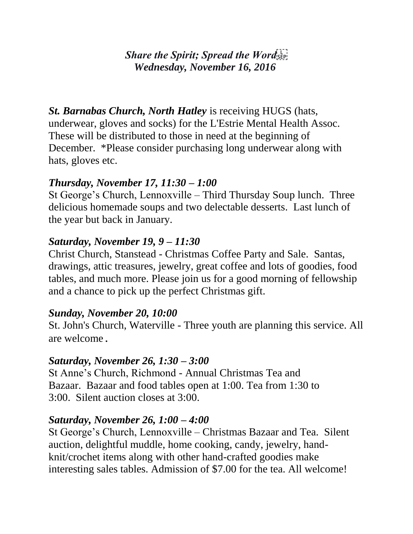### *Share the Spirit; Spread the Word Wednesday, November 16, 2016*

*St. Barnabas Church, North Hatley* is receiving HUGS (hats, underwear, gloves and socks) for the L'Estrie Mental Health Assoc. These will be distributed to those in need at the beginning of December. \*Please consider purchasing long underwear along with hats, gloves etc.

### *Thursday, November 17, 11:30 – 1:00*

St George's Church, Lennoxville – Third Thursday Soup lunch. Three delicious homemade soups and two delectable desserts. Last lunch of the year but back in January.

### *Saturday, November 19, 9 – 11:30*

Christ Church, Stanstead - Christmas Coffee Party and Sale. Santas, drawings, attic treasures, jewelry, great coffee and lots of goodies, food tables, and much more. Please join us for a good morning of fellowship and a chance to pick up the perfect Christmas gift.

### *Sunday, November 20, 10:00*

St. John's Church, Waterville - Three youth are planning this service. All are welcome.

### *Saturday, November 26, 1:30 – 3:00*

St Anne's Church, Richmond - Annual Christmas Tea and Bazaar. Bazaar and food tables open at 1:00. Tea from 1:30 to 3:00. Silent auction closes at 3:00.

### *Saturday, November 26, 1:00 – 4:00*

St George's Church, Lennoxville – Christmas Bazaar and Tea. Silent auction, delightful muddle, home cooking, candy, jewelry, handknit/crochet items along with other hand-crafted goodies make interesting sales tables. Admission of \$7.00 for the tea. All welcome!